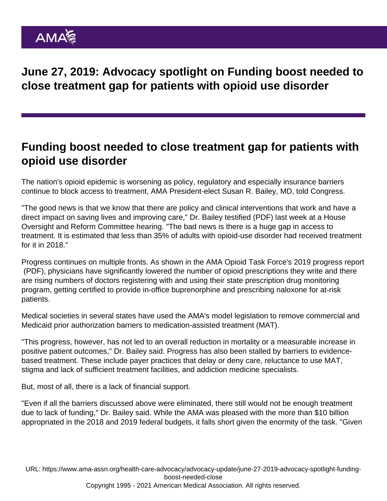June 27, 2019: Advocacy spotlight on Funding boost needed to close treatment gap for patients with opioid use disorder

## Funding boost needed to close treatment gap for patients with opioid use disorder

The nation's opioid epidemic is worsening as policy, regulatory and especially insurance barriers continue to block access to treatment, AMA President-elect Susan R. Bailey, MD, told Congress.

"The good news is that we know that there are policy and clinical interventions that work and have a direct impact on saving lives and improving care," Dr. Bailey [testified](https://searchusan.ama-assn.org/undefined/documentDownload?uri=/unstructured/binary/letter/LETTERS/2019-6-19-Statement-re-Opioids-Final.pdf) (PDF) last week at a House Oversight and Reform Committee hearing. "The bad news is there is a huge gap in access to treatment. It is estimated that less than 35% of adults with opioid-use disorder had received treatment for it in 2018."

Progress continues on multiple fronts. As shown in the [AMA Opioid Task Force's 2019 progress report](https://www.end-opioid-epidemic.org/wp-content/uploads/2019/06/AMA-Opioid-Task-Force-2019-Progress-Report-web-1.pdf) (PDF), physicians have significantly lowered the number of opioid prescriptions they write and there are rising numbers of doctors registering with and using their state prescription drug monitoring program, getting certified to provide in-office buprenorphine and prescribing naloxone for at-risk patients.

Medical societies in [several states](https://www.ama-assn.org/advocacy/patient-advocacy/quick-take-moves-cut-barriers-opioid-use-disorder-treatment) have used the AMA's model legislation to remove commercial and Medicaid prior authorization barriers to medication-assisted treatment (MAT).

"This progress, however, has not led to an overall reduction in mortality or a measurable increase in positive patient outcomes," Dr. Bailey said. Progress has also been stalled by barriers to evidencebased treatment. These include payer practices that delay or deny care, reluctance to use MAT, stigma and lack of sufficient treatment facilities, and addiction medicine specialists.

But, most of all, there is a lack of financial support.

"Even if all the barriers discussed above were eliminated, there still would not be enough treatment due to lack of funding," Dr. Bailey said. While the AMA was pleased with the more than \$10 billion appropriated in the 2018 and 2019 federal budgets, it falls short given the enormity of the task. "Given

URL: [https://www.ama-assn.org/health-care-advocacy/advocacy-update/june-27-2019-advocacy-spotlight-funding](https://www.ama-assn.org/health-care-advocacy/advocacy-update/june-27-2019-advocacy-spotlight-funding-boost-needed-close)[boost-needed-close](https://www.ama-assn.org/health-care-advocacy/advocacy-update/june-27-2019-advocacy-spotlight-funding-boost-needed-close) Copyright 1995 - 2021 American Medical Association. All rights reserved.